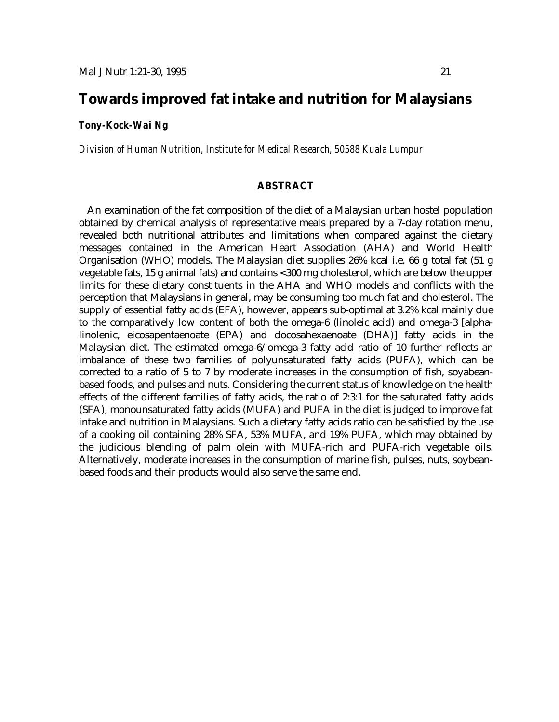# **Towards improved fat intake and nutrition for Malaysians**

# *Tony-Kock-Wai Ng*

*Division of Human Nutrition, Institute for Medical Research, 50588 Kuala Lumpur*

## **ABSTRACT**

An examination of the fat composition of the diet of a Malaysian urban hostel population obtained by chemical analysis of representative meals prepared by a 7-day rotation menu, revealed both nutritional attributes and limitations when compared against the dietary messages contained in the American Heart Association (AHA) and World Health Organisation (WHO) models. The Malaysian diet supplies 26% kcal i.e. 66 g total fat (51 g vegetable fats, 15 g animal fats) and contains <300 mg cholesterol, which are below the upper limits for these dietary constituents in the AHA and WHO models and conflicts with the perception that Malaysians in general, may be consuming too much fat and cholesterol. The supply of essential fatty acids (EFA), however, appears sub-optimal at 3.2% kcal mainly due to the comparatively low content of both the omega-6 (linoleic acid) and omega-3 [alphalinolenic, eicosapentaenoate (EPA) and docosahexaenoate (DHA)] fatty acids in the Malaysian diet. The estimated omega-6/omega-3 fatty acid ratio of 10 further reflects an imbalance of these two families of polyunsaturated fatty acids (PUFA), which can be corrected to a ratio of 5 to 7 by moderate increases in the consumption of fish, soyabeanbased foods, and pulses and nuts. Considering the current status of knowledge on the health effects of the different families of fatty acids, the ratio of 2:3:1 for the saturated fatty acids (SFA), monounsaturated fatty acids (MUFA) and PUFA in the diet is judged to improve fat intake and nutrition in Malaysians. Such a dietary fatty acids ratio can be satisfied by the use of a cooking oil containing 28% SFA, 53% MUFA, and 19% PUFA, which may obtained by the judicious blending of palm olein with MUFA-rich and PUFA-rich vegetable oils. Alternatively, moderate increases in the consumption of marine fish, pulses, nuts, soybeanbased foods and their products would also serve the same end.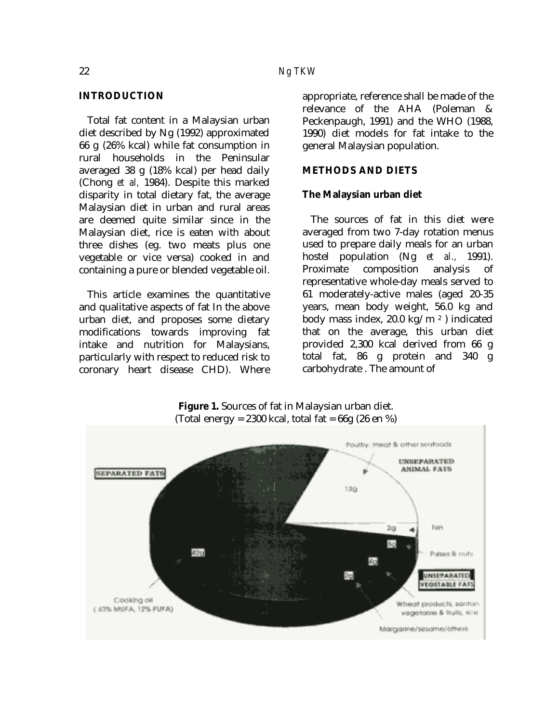Total fat content in a Malaysian urban diet described by Ng (1992) approximated 66 g (26% kcal) while fat consumption in rural households in the Peninsular averaged 38 g (18% kcal) per head daily (Chong *et al,* 1984). Despite this marked disparity in total dietary fat, the average Malaysian diet in urban and rural areas are deemed quite similar since in the Malaysian diet, rice is eaten with about three dishes (eg. two meats plus one vegetable or vice versa) cooked in and containing a pure or blended vegetable oil.

This article examines the quantitative and qualitative aspects of fat In the above urban diet, and proposes some dietary modifications towards improving fat intake and nutrition for Malaysians, particularly with respect to reduced risk to coronary heart disease CHD). Where appropriate, reference shall be made of the relevance of the AHA (Poleman & Peckenpaugh, 1991) and the WHO (1988, 1990) diet models for fat intake to the general Malaysian population.

# **METHODS AND DIETS**

#### **The Malaysian urban diet**

The sources of fat in this diet were averaged from two 7-day rotation menus used to prepare daily meals for an urban hostel population (Ng *et al.,* 1991). Proximate composition analysis of representative whole-day meals served to 61 moderately-active males (aged 20-35 years, mean body weight, 56.0 kg and body mass index, 20.0 kg/m <sup>2</sup> ) indicated that on the average, this urban diet provided 2,300 kcal derived from 66 g total fat, 86 g protein and 340 g carbohydrate . The amount of



**Figure 1.** Sources of fat in Malaysian urban diet. (Total energy = 2300 kcal, total fat =  $66g$  (26 en %)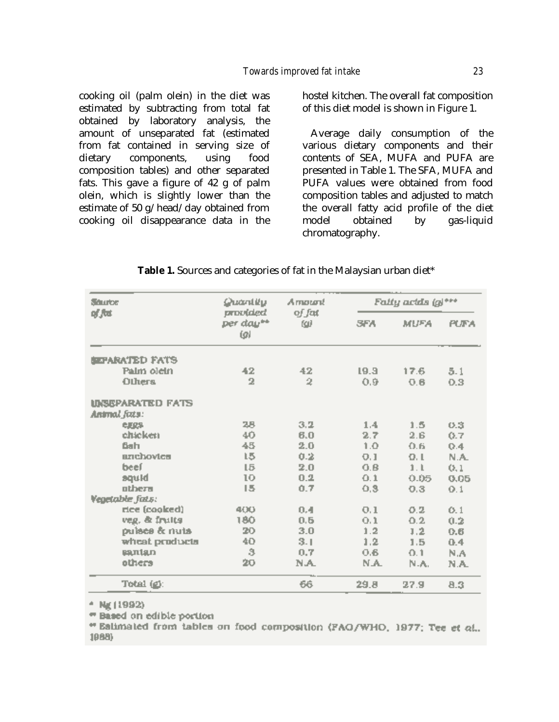cooking oil (palm olein) in the diet was estimated by subtracting from total fat obtained by laboratory analysis, the amount of unseparated fat (estimated from fat contained in serving size of dietary components, using food composition tables) and other separated fats. This gave a figure of 42 g of palm olein, which is slightly lower than the estimate of 50 g/head/day obtained from cooking oil disappearance data in the hostel kitchen. The overall fat composition of this diet model is shown in Figure 1.

Average daily consumption of the various dietary components and their contents of SEA, MUFA and PUFA are presented in Table 1. The SFA, MUFA and PUFA values were obtained from food composition tables and adjusted to match the overall fatty acid profile of the diet model obtained by gas-liquid chromatography.

| Source<br>of fut        | Quantity                     | Amount        | Fally acids (g)*** |             |             |
|-------------------------|------------------------------|---------------|--------------------|-------------|-------------|
|                         | provided<br>per day**<br>(g) | of fat<br>607 | <b>SFA</b>         | <b>MUFA</b> | <b>PUFA</b> |
| <b>SEPARATED FATS</b>   |                              |               |                    |             |             |
| Palm olein              | 42                           | 42            | 19.3               | 17.6        | 5.1         |
| Others                  | 2                            | 2             | 0.9                | 0.6         | 0.3         |
| <b>UNSEPARATED FATS</b> |                              |               |                    |             |             |
| Animal fats:            |                              |               |                    |             |             |
| <b>CLICS</b>            | 28                           | 3.2           | 1.4.               | 1.5         | 0.3         |
| chicken                 | 40                           | 6.0           | 2.7                | 2.6         | 0.7         |
| <b>Bah</b>              | 45                           | 2.0           | 1.0                | 0.6         | Q.4         |
| anchovica               | 15                           | 0.2           | 0.1                | 0.1         | N.A.        |
| beef                    | LБ                           | 2.0           | 0.B                | 1.1         | (3, 1)      |
| blupe                   | 10                           | 0.2           | 0.1                | 0.05        | 0.05        |
| others                  | 15                           | 0.7           | 0,3                | 0.3         | Q.1         |
| <b>Vegetable fats:</b>  |                              |               |                    |             |             |
| rice (cooked)           | 400                          | 0.4           | 0.1                | 0.2         | 0.1         |
| veg, & fruits           | 180                          | 0.5           | 0.1                | 0.2         | 0.2         |
| puisce & nuts           | 20                           | 3.0           | 1.2                | 1.2         | 0.6         |
| wheat products          | 40                           | 3.1           | 1.2.               | 1.5         | 0.4         |
| <b>BRITISLD</b>         | 3                            | 0.7           | 0.6                | 0.1         | N.A         |
| others                  | 20                           | N.A.          | N.A.               | N.A.        | N.A.        |
| Total (g):              |                              | 66            | 29.8               | 27.9        | 8.3         |

#### Table 1. Sources and categories of fat in the Malaysian urban diet\*

\* Ng (1992)

" Based on edible portion

" Eatimated from tables on food composition (FAQ/WHO, 1977; Tee et al., 1988)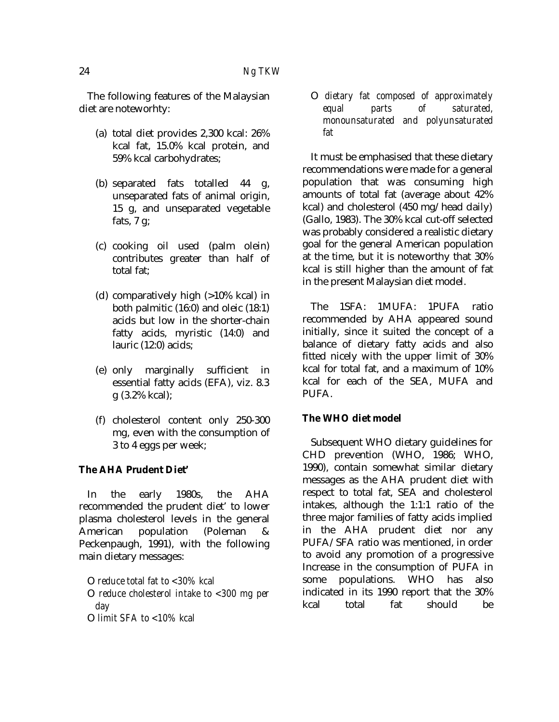The following features of the Malaysian diet are noteworhty:

- (a) total diet provides 2,300 kcal: 26% kcal fat, 15.0% kcal protein, and 59% kcal carbohydrates;
- (b) separated fats totalled 44 g, unseparated fats of animal origin, 15 g, and unseparated vegetable fats,  $7 \text{ g}$ ;
- (c) cooking oil used (palm olein) contributes greater than half of total fat;
- (d) comparatively high (>10% kcal) in both palmitic (16:0) and oleic (18:1) acids but low in the shorter-chain fatty acids, myristic (14:0) and lauric (12:0) acids;
- (e) only marginally sufficient in essential fatty acids (EFA), viz. 8.3 g (3.2% kcal);
- (f) cholesterol content only 250-300 mg, even with the consumption of 3 to 4 eggs per week;

# **The AHA Prudent Diet'**

In the early 1980s, the AHA recommended the prudent diet' to lower plasma cholesterol levels in the general American population (Poleman Peckenpaugh, 1991), with the following main dietary messages:

O *reduce total fat to <30% kcal* 

- O *reduce cholesterol intake to <300 mg per day*
- O *limit SFA to <10% kcal*

O *dietary fat composed of approximately equal parts of saturated, monounsaturated and polyunsaturated fat*

It must be emphasised that these dietary recommendations were made for a general population that was consuming high amounts of total fat (average about 42% kcal) and cholesterol (450 mg/head daily) (Gallo, 1983). The 30% kcal cut-off selected was probably considered a realistic dietary goal for the general American population at the time, but it is noteworthy that 30% kcal is still higher than the amount of fat in the present Malaysian diet model.

The 1SFA: 1MUFA: 1PUFA ratio recommended by AHA appeared sound initially, since it suited the concept of a balance of dietary fatty acids and also fitted nicely with the upper limit of 30% kcal for total fat, and a maximum of 10% kcal for each of the SEA, MUFA and PUFA.

# **The WHO diet model**

Subsequent WHO dietary guidelines for CHD prevention (WHO, 1986; WHO, 1990), contain somewhat similar dietary messages as the AHA prudent diet with respect to total fat, SEA and cholesterol intakes, although the 1:1:1 ratio of the three major families of fatty acids implied in the AHA prudent diet nor any PUFA/SFA ratio was mentioned, in order to avoid any promotion of a progressive Increase in the consumption of PUFA in some populations. WHO has also indicated in its 1990 report that the 30% kcal total fat should be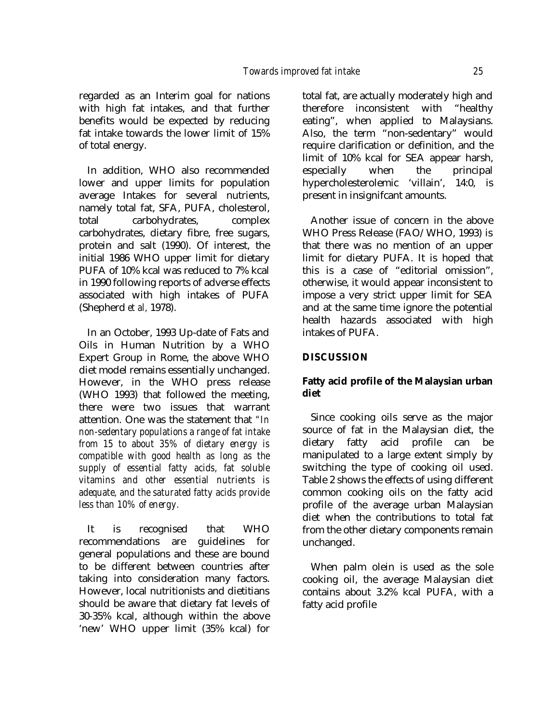regarded as an Interim goal for nations with high fat intakes, and that further benefits would be expected by reducing fat intake towards the lower limit of 15% of total energy.

In addition, WHO also recommended lower and upper limits for population average Intakes for several nutrients, namely total fat, SFA, PUFA, cholesterol, total carbohydrates, complex carbohydrates, dietary fibre, free sugars, protein and salt (1990). Of interest, the initial 1986 WHO upper limit for dietary PUFA of 10% kcal was reduced to 7% kcal in 1990 following reports of adverse effects associated with high intakes of PUFA (Shepherd *et al,* 1978).

In an October, 1993 Up-date of Fats and Oils in Human Nutrition by a WHO Expert Group in Rome, the above WHO diet model remains essentially unchanged. However, in the WHO press release (WHO 1993) that followed the meeting, there were two issues that warrant attention. One was the statement that *"In non-sedentary populations a range of fat intake from 15 to about 35% of dietary energy is compatible with good health as long as the supply of essential fatty acids, fat soluble vitamins and other essential nutrients is adequate, and the saturated fatty acids provide less than 10% of energy.*

It is recognised that WHO recommendations are guidelines for general populations and these are bound to be different between countries after taking into consideration many factors. However, local nutritionists and dietitians should be aware that dietary fat levels of 30-35% kcal, although within the above 'new' WHO upper limit (35% kcal) for total fat, are actually moderately high and therefore inconsistent with "healthy eating", when applied to Malaysians. Also, the term "non-sedentary" would require clarification or definition, and the limit of 10% kcal for SEA appear harsh, especially when the principal hypercholesterolemic 'villain', 14:0, is present in insignifcant amounts.

Another issue of concern in the above WHO Press Release (FAO/WHO, 1993) is that there was no mention of an upper limit for dietary PUFA. It is hoped that this is a case of "editorial omission", otherwise, it would appear inconsistent to impose a very strict upper limit for SEA and at the same time ignore the potential health hazards associated with high intakes of PUFA.

# **DISCUSSION**

# **Fatty acid profile of the Malaysian urban diet**

Since cooking oils serve as the major source of fat in the Malaysian diet, the dietary fatty acid profile can be manipulated to a large extent simply by switching the type of cooking oil used. Table 2 shows the effects of using different common cooking oils on the fatty acid profile of the average urban Malaysian diet when the contributions to total fat from the other dietary components remain unchanged.

When palm olein is used as the sole cooking oil, the average Malaysian diet contains about 3.2% kcal PUFA, with a fatty acid profile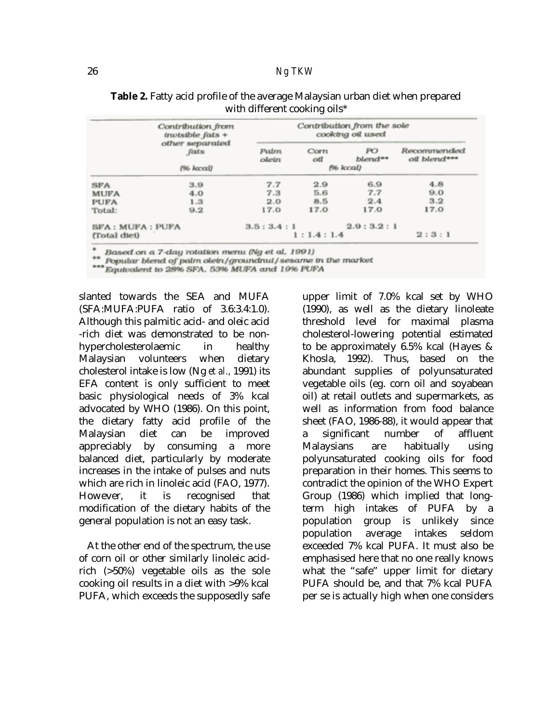|                        | Contribution from<br>$t$ <i>rwisible fats</i> $+$ | Contribution from the sole<br>cooking oil used |             |               |                             |  |
|------------------------|---------------------------------------------------|------------------------------------------------|-------------|---------------|-----------------------------|--|
|                        | other separated<br>fats                           | Palm<br>oletri                                 | Corn<br>off | PO<br>blend** | Recommended<br>oil blend*** |  |
| (% kcal)               |                                                   | P6 kcal)                                       |             |               |                             |  |
| SFA                    | 3.9                                               | 7.7                                            | 2.9         | 6.9           | 4.8                         |  |
| <b>MUFA</b>            | 4.0                                               | 7.3                                            | 5.6         | 7.7           | 9.0                         |  |
| <b>PUFA</b>            | 1.3                                               | 2.0                                            | 8.5         | 2.4           | 3.2                         |  |
| Total:                 | 9.2                                               | 17.0                                           | 17.0        | 17.0          | 17.0                        |  |
| <b>SFA: MUFA: PUFA</b> |                                                   | 3.5:3.4:1                                      |             | 2.9:3.2:1     |                             |  |
| (Total diet)           |                                                   | 1:1.4:1.4                                      |             |               | 2:3:1                       |  |

# **Table 2.** Fatty acid profile of the average Malaysian urban diet when prepared with different cooking oils\*

Based on a 7-day rotation menu (Ng et al. 1991)

Popular blend of palm olein/groundnut/sesame in the market

\*\*\* Equivalent to 28% SFA, 53% MUFA and 19% PUFA

slanted towards the SEA and MUFA (SFA:MUFA:PUFA ratio of 3.6:3.4:1.0). Although this palmitic acid- and oleic acid -rich diet was demonstrated to be nonhypercholesterolaemic in healthy Malaysian volunteers when dietary cholesterol intake is low (Ng *et al.,* 1991) its EFA content is only sufficient to meet basic physiological needs of 3% kcal advocated by WHO (1986). On this point, the dietary fatty acid profile of the Malaysian diet can be improved appreciably by consuming a more balanced diet, particularly by moderate increases in the intake of pulses and nuts which are rich in linoleic acid (FAO, 1977). However, it is recognised that modification of the dietary habits of the general population is not an easy task.

At the other end of the spectrum, the use of corn oil or other similarly linoleic acidrich (>50%) vegetable oils as the sole cooking oil results in a diet with >9% kcal PUFA, which exceeds the supposedly safe

upper limit of 7.0% kcal set by WHO (1990), as well as the dietary linoleate threshold level for maximal plasma cholesterol-lowering potential estimated to be approximately 6.5% kcal (Hayes & Khosla, 1992). Thus, based on the abundant supplies of polyunsaturated vegetable oils (eg. corn oil and soyabean oil) at retail outlets and supermarkets, as well as information from food balance sheet (FAO, 1986-88), it would appear that a significant number of affluent Malaysians are habitually using polyunsaturated cooking oils for food preparation in their homes. This seems to contradict the opinion of the WHO Expert Group (1986) which implied that longterm high intakes of PUFA by a population group is unlikely since population average intakes seldom exceeded 7% kcal PUFA. It must also be emphasised here that no one really knows what the "safe" upper limit for dietary PUFA should be, and that 7% kcal PUFA per se is actually high when one considers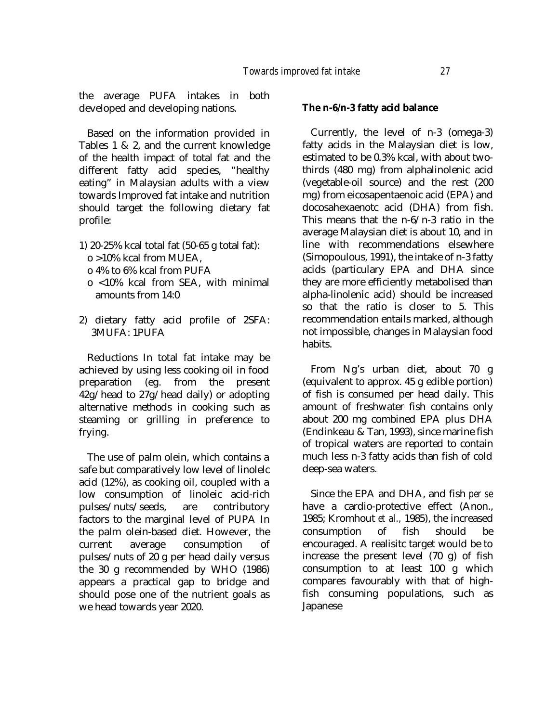the average PUFA intakes in both developed and developing nations.

Based on the information provided in Tables 1 & 2, and the current knowledge of the health impact of total fat and the different fatty acid species, "healthy eating" in Malaysian adults with a view towards Improved fat intake and nutrition should target the following dietary fat profile:

- 1) 20-25% kcal total fat (50-65 g total fat): o >10% kcal from MUEA,
	- o 4% to 6% kcal from PUFA
	- o <10% kcal from SEA, with minimal amounts from 14:0
- 2) dietary fatty acid profile of 2SFA: 3MUFA: 1PUFA

Reductions In total fat intake may be achieved by using less cooking oil in food<br>preparation (eg. from the present preparation (eg. from the present 42g/head to 27g/head daily) or adopting alternative methods in cooking such as steaming or grilling in preference to frying.

The use of palm olein, which contains a safe but comparatively low level of linolelc acid (12%), as cooking oil, coupled with a low consumption of linoleic acid-rich pulses/nuts/seeds, are contributory factors to the marginal level of PUPA In the palm olein-based diet. However, the current average consumption of pulses/nuts of 20 g per head daily versus the 30 g recommended by WHO (1986) appears a practical gap to bridge and should pose one of the nutrient goals as we head towards year 2020.

## **The n-6/n-3 fatty acid balance**

Currently, the level of n-3 (omega-3) fatty acids in the Malaysian diet is low, estimated to be 0.3% kcal, with about twothirds (480 mg) from alphalinolenic acid (vegetable-oil source) and the rest (200 mg) from eicosapentaenoic acid (EPA) and docosahexaenotc acid (DHA) from fish. This means that the n-6/n-3 ratio in the average Malaysian diet is about 10, and in line with recommendations elsewhere (Simopoulous, 1991), the intake of n-3 fatty acids (particulary EPA and DHA since they are more efficiently metabolised than alpha-linolenic acid) should be increased so that the ratio is closer to 5. This recommendation entails marked, although not impossible, changes in Malaysian food habits.

From Ng's urban diet, about 70 g (equivalent to approx. 45 g edible portion) of fish is consumed per head daily. This amount of freshwater fish contains only about 200 mg combined EPA plus DHA (Endinkeau & Tan, 1993), since marine fish of tropical waters are reported to contain much less n-3 fatty acids than fish of cold deep-sea waters.

Since the EPA and DHA, and fish *per se*  have a cardio-protective effect (Anon., 1985; Kromhout *et al.,* 1985), the increased consumption of fish should be encouraged. A realisitc target would be to increase the present level (70 g) of fish consumption to at least 100 g which compares favourably with that of highfish consuming populations, such as Japanese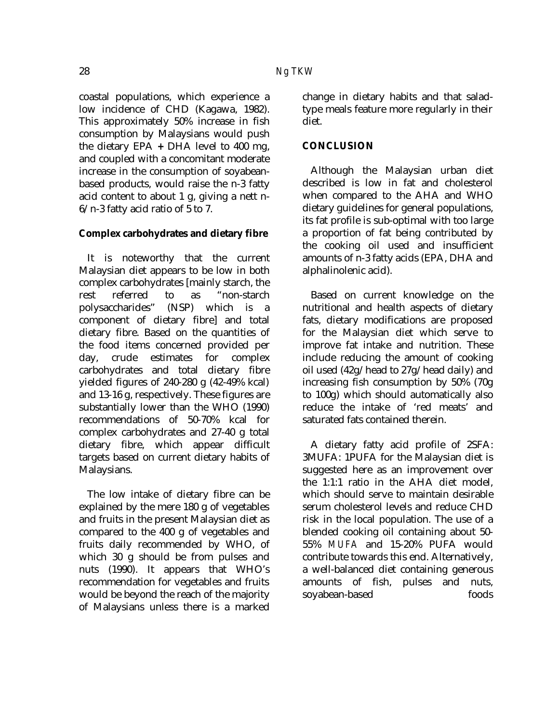coastal populations, which experience a low incidence of CHD (Kagawa, 1982). This approximately 50% increase in fish consumption by Malaysians would push the dietary EPA **+** DHA level to 400 mg, and coupled with a concomitant moderate increase in the consumption of soyabeanbased products, would raise the n-3 fatty acid content to about 1 g, giving a nett n-6/n-3 fatty acid ratio of 5 to 7.

# **Complex carbohydrates and dietary fibre**

It is noteworthy that the current Malaysian diet appears to be low in both complex carbohydrates [mainly starch, the rest referred to as "non-starch polysaccharides" (NSP) which is a component of dietary fibre] and total dietary fibre. Based on the quantities of the food items concerned provided per day, crude estimates for complex carbohydrates and total dietary fibre yielded figures of 240-280 g (42-49% kcal) and 13-16 g, respectively. These figures are substantially lower than the WHO (1990) recommendations of 50-70% kcal for complex carbohydrates and 27-40 g total dietary fibre, which appear difficult targets based on current dietary habits of Malaysians.

The low intake of dietary fibre can be explained by the mere 180 g of vegetables and fruits in the present Malaysian diet as compared to the 400 g of vegetables and fruits daily recommended by WHO, of which 30 g should be from pulses and nuts (1990). It appears that WHO's recommendation for vegetables and fruits would be beyond the reach of the majority of Malaysians unless there is a marked

change in dietary habits and that saladtype meals feature more regularly in their diet.

# **CONCLUSION**

Although the Malaysian urban diet described is low in fat and cholesterol when compared to the AHA and WHO dietary guidelines for general populations, its fat profile is sub-optimal with too large a proportion of fat being contributed by the cooking oil used and insufficient amounts of n-3 fatty acids (EPA, DHA and alphalinolenic acid).

Based on current knowledge on the nutritional and health aspects of dietary fats, dietary modifications are proposed for the Malaysian diet which serve to improve fat intake and nutrition. These include reducing the amount of cooking oil used (42g/head to 27g/head daily) and increasing fish consumption by 50% (70g to 100g) which should automatically also reduce the intake of 'red meats' and saturated fats contained therein.

A dietary fatty acid profile of 2SFA: 3MUFA: 1PUFA for the Malaysian diet is suggested here as an improvement over the 1:1:1 ratio in the AHA diet model, which should serve to maintain desirable serum cholesterol levels and reduce CHD risk in the local population. The use of a blended cooking oil containing about 50- 55% *MUFA* and 15-20% PUFA would contribute towards this end. Alternatively, a well-balanced diet containing generous amounts of fish, pulses and nuts, soyabean-based foods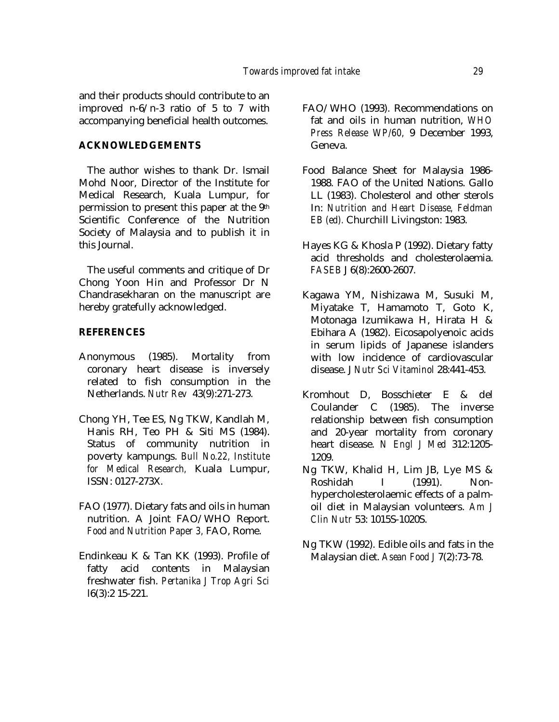and their products should contribute to an improved n-6/n-3 ratio of 5 to 7 with accompanying beneficial health outcomes.

#### **ACKNOWLEDGEMENTS**

The author wishes to thank Dr. lsmail Mohd Noor, Director of the Institute for Medical Research, Kuala Lumpur, for permission to present this paper at the 9th Scientific Conference of the Nutrition Society of Malaysia and to publish it in this Journal.

The useful comments and critique of Dr Chong Yoon Hin and Professor Dr N Chandrasekharan on the manuscript are hereby gratefully acknowledged.

#### **REFERENCES**

- Anonymous (1985). Mortality from coronary heart disease is inversely related to fish consumption in the Netherlands. *Nutr Rev* 43(9):271-273.
- Chong YH, Tee ES, Ng TKW, Kandlah M, Hanis RH, Teo PH & Siti MS (1984). Status of community nutrition in poverty kampungs. *Bull No.22, Institute for Medical Research,* Kuala Lumpur, ISSN: 0127-273X.
- FAO (1977). Dietary fats and oils in human nutrition. A Joint FAO/WHO Report. *Food and Nutrition Paper 3,* FAO, Rome.
- Endinkeau K & Tan KK (1993). Profile of fatty acid contents in Malaysian freshwater fish. *Pertanika J Trop Agri Sci* l6(3):2 15-221.
- FAO/WHO (1993). Recommendations on fat and oils in human nutrition, *WHO Press Release WP/60,* 9 December 1993, Geneva.
- Food Balance Sheet for Malaysia 1986- 1988. FAO of the United Nations. Gallo LL (1983). Cholesterol and other sterols In: *Nutrition and Heart Disease, Feldman EB (ed).* Churchill Livingston: 1983.
- Hayes KG & Khosla P (1992). Dietary fatty acid thresholds and cholesterolaemia. *FASEB* J 6(8):2600-2607.
- Kagawa YM, Nishizawa M, Susuki M, Miyatake T, Hamamoto T, Goto K, Motonaga Izumikawa H, Hirata H & Ebihara A (1982). Eicosapolyenoic acids in serum lipids of Japanese islanders with low incidence of cardiovascular disease. J *Nutr Sci Vitaminol* 28:441-453.
- Kromhout D, Bosschieter E & del Coulander C (1985). The inverse relationship between fish consumption and 20-year mortality from coronary heart disease. *N Engl J Med* 312:1205- 1209.
- Ng TKW, Khalid H, Lim JB, Lye MS & Roshidah I (1991). Nonhypercholesterolaemic effects of a palmoil diet in Malaysian volunteers. *Am J Clin Nutr* 53: 1015S-1020S.
- Ng TKW (1992). Edible oils and fats in the Malaysian diet. *Asean Food J* 7(2):73-78.